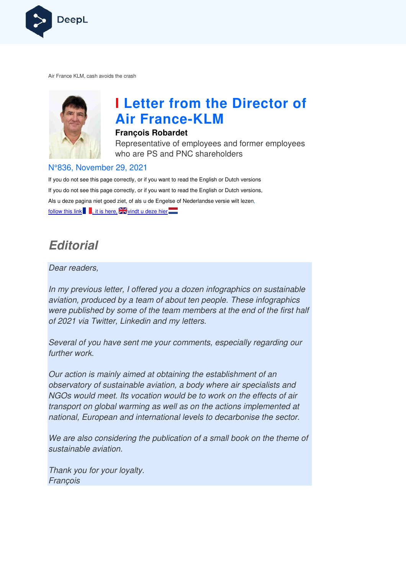

Air France KLM, cash avoids the crash



# **I Letter from the Director of Air France France-KLM**

#### **François Robardet**

Representative of employees and former employees who are PS and PNC shareholders

#### N°836, November 29, 2021

If you do not see this page correctly, or if you want to read the English or Dutch versions If you do not see this page correctly, or if you want to read the English or Dutch versions, Als u deze pagina niet goed ziet, of als u de Engelse of Nederlandse versie wilt lezen, follow this link , it is here,  $\frac{1}{2}$  windt u deze hier

# **Editorial**

Dear readers,

In my previous letter, I offered you a dozen infographics on sustainable aviation, produced by a team of about ten people. These infographics were published by some of the team members at the end of the first half of 2021 via Twitter, Linkedin and my letters.

Several of you have sent me your comments, especially regarding our further work.

Our action is mainly aimed at obtaining the establishment of an observatory of sustainable aviation, a body where air specialists and NGOs would meet. Its vocation would be to work on the effects of air transport on global warming as well as on the actions implemented at national, European and international levels to decarbonise the sector.

We are also considering the publication of a small book on the theme of sustainable aviation.

Thank you for your loyalty. François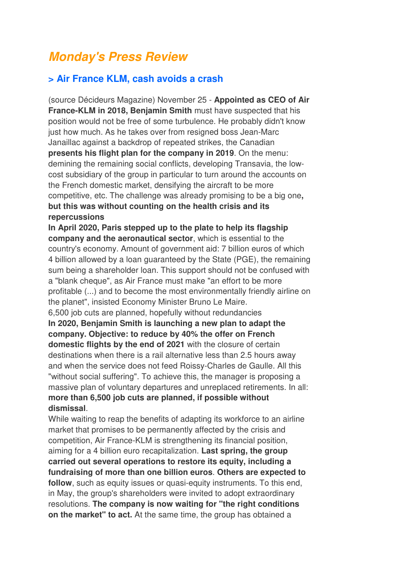# **Monday's Press Review**

### **> Air France KLM, cash avoids a crash**

(source Décideurs Magazine) November 25 - **Appointed as CEO of Air France-KLM in 2018, Benjamin Smith** must have suspected that his position would not be free of some turbulence. He probably didn't know just how much. As he takes over from resigned boss Jean-Marc Janaillac against a backdrop of repeated strikes, the Canadian **presents his flight plan for the company in 2019**. On the menu: demining the remaining social conflicts, developing Transavia, the lowcost subsidiary of the group in particular to turn around the accounts on the French domestic market, densifying the aircraft to be more competitive, etc. The challenge was already promising to be a big one**, but this was without counting on the health crisis and its repercussions** 

**In April 2020, Paris stepped up to the plate to help its flagship company and the aeronautical sector**, which is essential to the country's economy. Amount of government aid: 7 billion euros of which 4 billion allowed by a loan guaranteed by the State (PGE), the remaining sum being a shareholder loan. This support should not be confused with a "blank cheque", as Air France must make "an effort to be more profitable (...) and to become the most environmentally friendly airline on the planet", insisted Economy Minister Bruno Le Maire. 6,500 job cuts are planned, hopefully without redundancies **In 2020, Benjamin Smith is launching a new plan to adapt the company. Objective: to reduce by 40% the offer on French domestic flights by the end of 2021** with the closure of certain destinations when there is a rail alternative less than 2.5 hours away and when the service does not feed Roissy-Charles de Gaulle. All this "without social suffering". To achieve this, the manager is proposing a

massive plan of voluntary departures and unreplaced retirements. In all: **more than 6,500 job cuts are planned, if possible without dismissal**.

While waiting to reap the benefits of adapting its workforce to an airline market that promises to be permanently affected by the crisis and competition, Air France-KLM is strengthening its financial position, aiming for a 4 billion euro recapitalization. **Last spring, the group carried out several operations to restore its equity, including a fundraising of more than one billion euros**. **Others are expected to follow**, such as equity issues or quasi-equity instruments. To this end, in May, the group's shareholders were invited to adopt extraordinary resolutions. **The company is now waiting for "the right conditions on the market" to act.** At the same time, the group has obtained a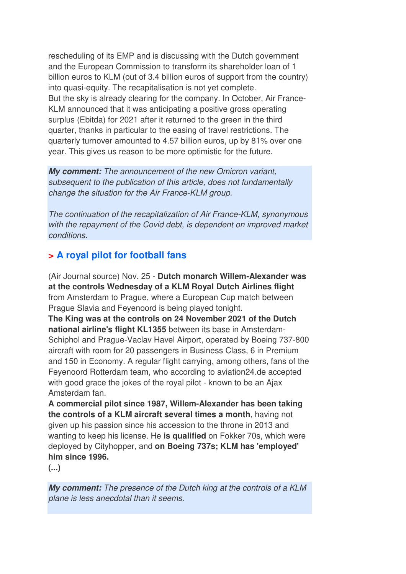rescheduling of its EMP and is discussing with the Dutch government and the European Commission to transform its shareholder loan of 1 billion euros to KLM (out of 3.4 billion euros of support from the country) into quasi-equity. The recapitalisation is not yet complete. But the sky is already clearing for the company. In October, Air France-KLM announced that it was anticipating a positive gross operating surplus (Ebitda) for 2021 after it returned to the green in the third quarter, thanks in particular to the easing of travel restrictions. The quarterly turnover amounted to 4.57 billion euros, up by 81% over one year. This gives us reason to be more optimistic for the future.

**My comment:** The announcement of the new Omicron variant, subsequent to the publication of this article, does not fundamentally change the situation for the Air France-KLM group.

The continuation of the recapitalization of Air France-KLM, synonymous with the repayment of the Covid debt, is dependent on improved market conditions.

# **> A royal pilot for football fans**

(Air Journal source) Nov. 25 - **Dutch monarch Willem-Alexander was at the controls Wednesday of a KLM Royal Dutch Airlines flight**  from Amsterdam to Prague, where a European Cup match between Prague Slavia and Feyenoord is being played tonight.

**The King was at the controls on 24 November 2021 of the Dutch national airline's flight KL1355** between its base in Amsterdam-Schiphol and Prague-Vaclav Havel Airport, operated by Boeing 737-800 aircraft with room for 20 passengers in Business Class, 6 in Premium and 150 in Economy. A regular flight carrying, among others, fans of the Feyenoord Rotterdam team, who according to aviation24.de accepted with good grace the jokes of the royal pilot - known to be an Ajax Amsterdam fan.

**A commercial pilot since 1987, Willem-Alexander has been taking the controls of a KLM aircraft several times a month**, having not given up his passion since his accession to the throne in 2013 and wanting to keep his license. He **is qualified** on Fokker 70s, which were deployed by Cityhopper, and **on Boeing 737s; KLM has 'employed' him since 1996.** 

**(...)**

**My comment:** The presence of the Dutch king at the controls of a KLM plane is less anecdotal than it seems.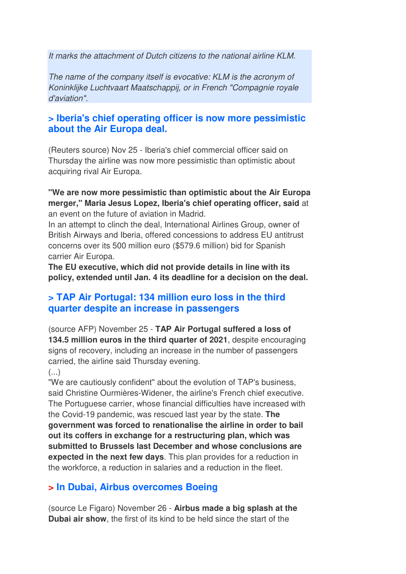It marks the attachment of Dutch citizens to the national airline KLM.

The name of the company itself is evocative: KLM is the acronym of Koninklijke Luchtvaart Maatschappij, or in French "Compagnie royale d'aviation".

## **> Iberia's chief operating officer is now more pessimistic about the Air Europa deal.**

(Reuters source) Nov 25 - Iberia's chief commercial officer said on Thursday the airline was now more pessimistic than optimistic about acquiring rival Air Europa.

#### **"We are now more pessimistic than optimistic about the Air Europa merger," Maria Jesus Lopez, Iberia's chief operating officer, said** at an event on the future of aviation in Madrid.

In an attempt to clinch the deal, International Airlines Group, owner of British Airways and Iberia, offered concessions to address EU antitrust concerns over its 500 million euro (\$579.6 million) bid for Spanish carrier Air Europa.

**The EU executive, which did not provide details in line with its policy, extended until Jan. 4 its deadline for a decision on the deal.**

# **> TAP Air Portugal: 134 million euro loss in the third quarter despite an increase in passengers**

(source AFP) November 25 - **TAP Air Portugal suffered a loss of 134.5 million euros in the third quarter of 2021**, despite encouraging signs of recovery, including an increase in the number of passengers carried, the airline said Thursday evening.

#### $($ ...)

"We are cautiously confident" about the evolution of TAP's business, said Christine Ourmières-Widener, the airline's French chief executive. The Portuguese carrier, whose financial difficulties have increased with the Covid-19 pandemic, was rescued last year by the state. **The government was forced to renationalise the airline in order to bail out its coffers in exchange for a restructuring plan, which was submitted to Brussels last December and whose conclusions are expected in the next few days**. This plan provides for a reduction in the workforce, a reduction in salaries and a reduction in the fleet.

# **> In Dubai, Airbus overcomes Boeing**

(source Le Figaro) November 26 - **Airbus made a big splash at the Dubai air show**, the first of its kind to be held since the start of the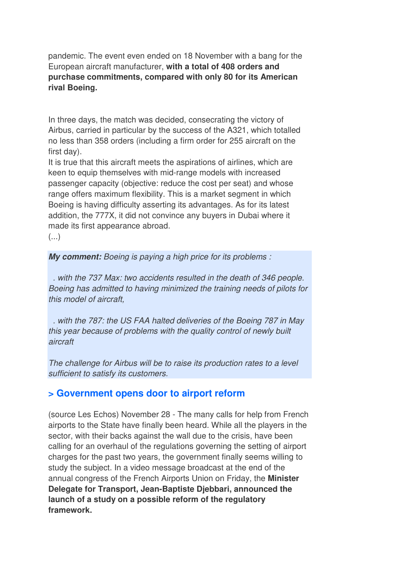pandemic. The event even ended on 18 November with a bang for the European aircraft manufacturer, **with a total of 408 orders and purchase commitments, compared with only 80 for its American rival Boeing.** 

In three days, the match was decided, consecrating the victory of Airbus, carried in particular by the success of the A321, which totalled no less than 358 orders (including a firm order for 255 aircraft on the first day).

It is true that this aircraft meets the aspirations of airlines, which are keen to equip themselves with mid-range models with increased passenger capacity (objective: reduce the cost per seat) and whose range offers maximum flexibility. This is a market segment in which Boeing is having difficulty asserting its advantages. As for its latest addition, the 777X, it did not convince any buyers in Dubai where it made its first appearance abroad.

 $(\ldots)$ 

**My comment:** Boeing is paying a high price for its problems :

 . with the 737 Max: two accidents resulted in the death of 346 people. Boeing has admitted to having minimized the training needs of pilots for this model of aircraft,

 . with the 787: the US FAA halted deliveries of the Boeing 787 in May this year because of problems with the quality control of newly built aircraft

The challenge for Airbus will be to raise its production rates to a level sufficient to satisfy its customers.

#### **> Government opens door to airport reform**

(source Les Echos) November 28 - The many calls for help from French airports to the State have finally been heard. While all the players in the sector, with their backs against the wall due to the crisis, have been calling for an overhaul of the regulations governing the setting of airport charges for the past two years, the government finally seems willing to study the subject. In a video message broadcast at the end of the annual congress of the French Airports Union on Friday, the **Minister Delegate for Transport, Jean-Baptiste Djebbari, announced the launch of a study on a possible reform of the regulatory framework.**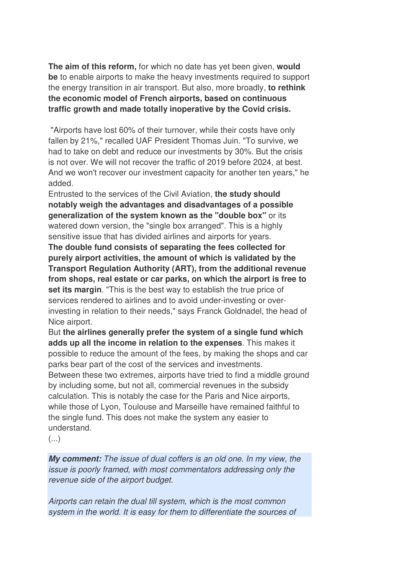**The aim of this reform,** for which no date has yet been given, **would be** to enable airports to make the heavy investments required to support the energy transition in air transport. But also, more broadly, **to rethink the economic model of French airports, based on continuous traffic growth and made totally inoperative by the Covid crisis.** 

 "Airports have lost 60% of their turnover, while their costs have only fallen by 21%," recalled UAF President Thomas Juin. "To survive, we had to take on debt and reduce our investments by 30%. But the crisis is not over. We will not recover the traffic of 2019 before 2024, at best. And we won't recover our investment capacity for another ten years," he added.

Entrusted to the services of the Civil Aviation, **the study should notably weigh the advantages and disadvantages of a possible generalization of the system known as the "double box"** or its watered down version, the "single box arranged". This is a highly sensitive issue that has divided airlines and airports for years.

**The double fund consists of separating the fees collected for purely airport activities, the amount of which is validated by the Transport Regulation Authority (ART), from the additional revenue from shops, real estate or car parks, on which the airport is free to set its margin**. "This is the best way to establish the true price of services rendered to airlines and to avoid under-investing or overinvesting in relation to their needs," says Franck Goldnadel, the head of Nice airport.

But **the airlines generally prefer the system of a single fund which adds up all the income in relation to the expenses**. This makes it possible to reduce the amount of the fees, by making the shops and car parks bear part of the cost of the services and investments. Between these two extremes, airports have tried to find a middle ground by including some, but not all, commercial revenues in the subsidy calculation. This is notably the case for the Paris and Nice airports, while those of Lyon, Toulouse and Marseille have remained faithful to the single fund. This does not make the system any easier to understand.

 $\left(\ldots\right)$ 

**My comment:** The issue of dual coffers is an old one. In my view, the issue is poorly framed, with most commentators addressing only the revenue side of the airport budget.

Airports can retain the dual till system, which is the most common system in the world. It is easy for them to differentiate the sources of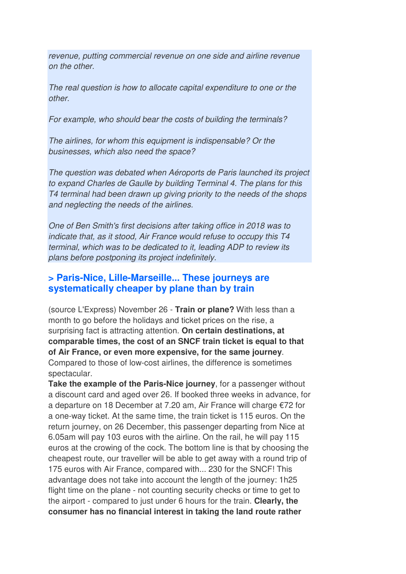revenue, putting commercial revenue on one side and airline revenue on the other.

The real question is how to allocate capital expenditure to one or the other.

For example, who should bear the costs of building the terminals?

The airlines, for whom this equipment is indispensable? Or the businesses, which also need the space?

The question was debated when Aéroports de Paris launched its project to expand Charles de Gaulle by building Terminal 4. The plans for this T4 terminal had been drawn up giving priority to the needs of the shops and neglecting the needs of the airlines.

One of Ben Smith's first decisions after taking office in 2018 was to indicate that, as it stood, Air France would refuse to occupy this T4 terminal, which was to be dedicated to it, leading ADP to review its plans before postponing its project indefinitely.

### **> Paris-Nice, Lille-Marseille... These journeys are systematically cheaper by plane than by train**

(source L'Express) November 26 - **Train or plane?** With less than a month to go before the holidays and ticket prices on the rise, a surprising fact is attracting attention. **On certain destinations, at comparable times, the cost of an SNCF train ticket is equal to that of Air France, or even more expensive, for the same journey**. Compared to those of low-cost airlines, the difference is sometimes spectacular.

**Take the example of the Paris-Nice journey**, for a passenger without a discount card and aged over 26. If booked three weeks in advance, for a departure on 18 December at 7.20 am, Air France will charge €72 for a one-way ticket. At the same time, the train ticket is 115 euros. On the return journey, on 26 December, this passenger departing from Nice at 6.05am will pay 103 euros with the airline. On the rail, he will pay 115 euros at the crowing of the cock. The bottom line is that by choosing the cheapest route, our traveller will be able to get away with a round trip of 175 euros with Air France, compared with... 230 for the SNCF! This advantage does not take into account the length of the journey: 1h25 flight time on the plane - not counting security checks or time to get to the airport - compared to just under 6 hours for the train. **Clearly, the consumer has no financial interest in taking the land route rather**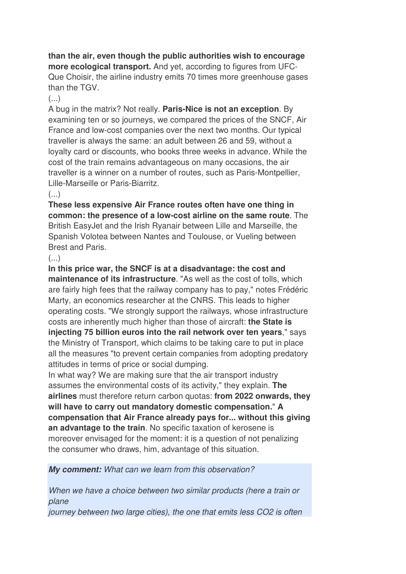#### **than the air, even though the public authorities wish to encourage more ecological transport.** And yet, according to figures from UFC-Que Choisir, the airline industry emits 70 times more greenhouse gases than the TGV.

 $\left( \ldots \right)$ 

A bug in the matrix? Not really. **Paris-Nice is not an exception**. By examining ten or so journeys, we compared the prices of the SNCF, Air France and low-cost companies over the next two months. Our typical traveller is always the same: an adult between 26 and 59, without a loyalty card or discounts, who books three weeks in advance. While the cost of the train remains advantageous on many occasions, the air traveller is a winner on a number of routes, such as Paris-Montpellier, Lille-Marseille or Paris-Biarritz.

#### $\left( \ldots \right)$

**These less expensive Air France routes often have one thing in common: the presence of a low-cost airline on the same route**. The British EasyJet and the Irish Ryanair between Lille and Marseille, the Spanish Volotea between Nantes and Toulouse, or Vueling between Brest and Paris.

#### $(\ldots)$

**In this price war, the SNCF is at a disadvantage: the cost and maintenance of its infrastructure**. "As well as the cost of tolls, which are fairly high fees that the railway company has to pay," notes Frédéric Marty, an economics researcher at the CNRS. This leads to higher operating costs. "We strongly support the railways, whose infrastructure costs are inherently much higher than those of aircraft: **the State is injecting 75 billion euros into the rail network over ten years**," says the Ministry of Transport, which claims to be taking care to put in place all the measures "to prevent certain companies from adopting predatory attitudes in terms of price or social dumping.

In what way? We are making sure that the air transport industry assumes the environmental costs of its activity," they explain. **The airlines** must therefore return carbon quotas: **from 2022 onwards, they will have to carry out mandatory domestic compensation.**" **A compensation that Air France already pays for... without this giving an advantage to the train**. No specific taxation of kerosene is moreover envisaged for the moment: it is a question of not penalizing the consumer who draws, him, advantage of this situation.

**My comment:** What can we learn from this observation?

When we have a choice between two similar products (here a train or plane

journey between two large cities), the one that emits less CO2 is often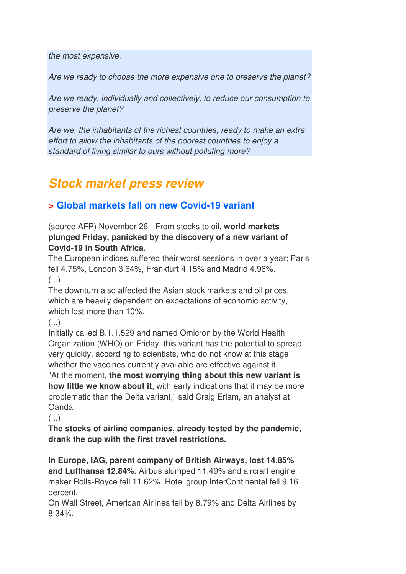the most expensive.

Are we ready to choose the more expensive one to preserve the planet?

Are we ready, individually and collectively, to reduce our consumption to preserve the planet?

Are we, the inhabitants of the richest countries, ready to make an extra effort to allow the inhabitants of the poorest countries to enjoy a standard of living similar to ours without polluting more?

# **Stock market press review**

# **> Global markets fall on new Covid-19 variant**

(source AFP) November 26 - From stocks to oil, **world markets plunged Friday, panicked by the discovery of a new variant of Covid-19 in South Africa**.

The European indices suffered their worst sessions in over a year: Paris fell 4.75%, London 3.64%, Frankfurt 4.15% and Madrid 4.96%.  $\left(\ldots\right)$ 

The downturn also affected the Asian stock markets and oil prices, which are heavily dependent on expectations of economic activity, which lost more than 10%.

 $(\ldots)$ 

Initially called B.1.1.529 and named Omicron by the World Health Organization (WHO) on Friday, this variant has the potential to spread very quickly, according to scientists, who do not know at this stage whether the vaccines currently available are effective against it.

"At the moment, **the most worrying thing about this new variant is how little we know about it**, with early indications that it may be more problematic than the Delta variant," said Craig Erlam, an analyst at Oanda.

 $\left( \ldots \right)$ 

**The stocks of airline companies, already tested by the pandemic, drank the cup with the first travel restrictions.** 

**In Europe, IAG, parent company of British Airways, lost 14.85% and Lufthansa 12.84%.** Airbus slumped 11.49% and aircraft engine maker Rolls-Royce fell 11.62%. Hotel group InterContinental fell 9.16 percent.

On Wall Street, American Airlines fell by 8.79% and Delta Airlines by 8.34%.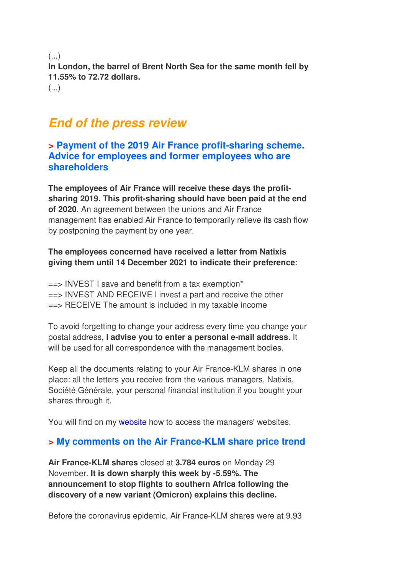(...) **In London, the barrel of Brent North Sea for the same month fell by 11.55% to 72.72 dollars.**   $\left( \ldots \right)$ 

# **End of the press review**

**> Payment of the 2019 Air France profit-sharing scheme. Advice for employees and former employees who are shareholders** 

**The employees of Air France will receive these days the profitsharing 2019. This profit-sharing should have been paid at the end of 2020**. An agreement between the unions and Air France management has enabled Air France to temporarily relieve its cash flow by postponing the payment by one year.

#### **The employees concerned have received a letter from Natixis giving them until 14 December 2021 to indicate their preference**:

 $\epsilon$ => INVEST I save and benefit from a tax exemption\* ==> INVEST AND RECEIVE I invest a part and receive the other ==> RECEIVE The amount is included in my taxable income

To avoid forgetting to change your address every time you change your postal address, **I advise you to enter a personal e-mail address**. It will be used for all correspondence with the management bodies.

Keep all the documents relating to your Air France-KLM shares in one place: all the letters you receive from the various managers, Natixis, Société Générale, your personal financial institution if you bought your shares through it.

You will find on my website how to access the managers' websites.

## **> My comments on the Air France-KLM share price trend**

**Air France-KLM shares** closed at **3.784 euros** on Monday 29 November. **It is down sharply this week by -5.59%. The announcement to stop flights to southern Africa following the discovery of a new variant (Omicron) explains this decline.** 

Before the coronavirus epidemic, Air France-KLM shares were at 9.93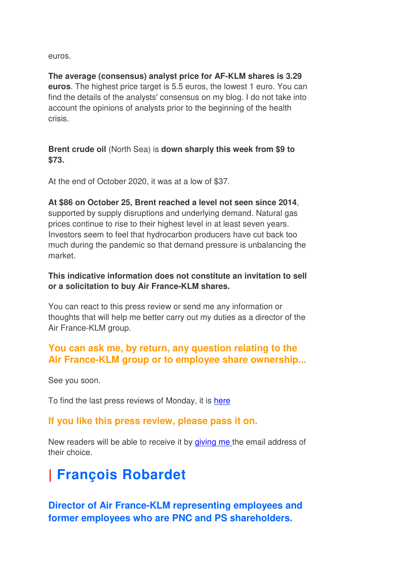euros.

**The average (consensus) analyst price for AF-KLM shares is 3.29 euros**. The highest price target is 5.5 euros, the lowest 1 euro. You can find the details of the analysts' consensus on my blog. I do not take into account the opinions of analysts prior to the beginning of the health crisis.

**Brent crude oil** (North Sea) is **down sharply this week from \$9 to \$73.** 

At the end of October 2020, it was at a low of \$37.

**At \$86 on October 25, Brent reached a level not seen since 2014**, supported by supply disruptions and underlying demand. Natural gas prices continue to rise to their highest level in at least seven years. Investors seem to feel that hydrocarbon producers have cut back too much during the pandemic so that demand pressure is unbalancing the market.

#### **This indicative information does not constitute an invitation to sell or a solicitation to buy Air France-KLM shares.**

You can react to this press review or send me any information or thoughts that will help me better carry out my duties as a director of the Air France-KLM group.

## **You can ask me, by return, any question relating to the Air France-KLM group or to employee share ownership...**

See you soon.

To find the last press reviews of Monday, it is here

## **If you like this press review, please pass it on.**

New readers will be able to receive it by giving me the email address of their choice.

# **| François Robardet**

**Director of Air France-KLM representing employees and former employees who are PNC and PS shareholders.**